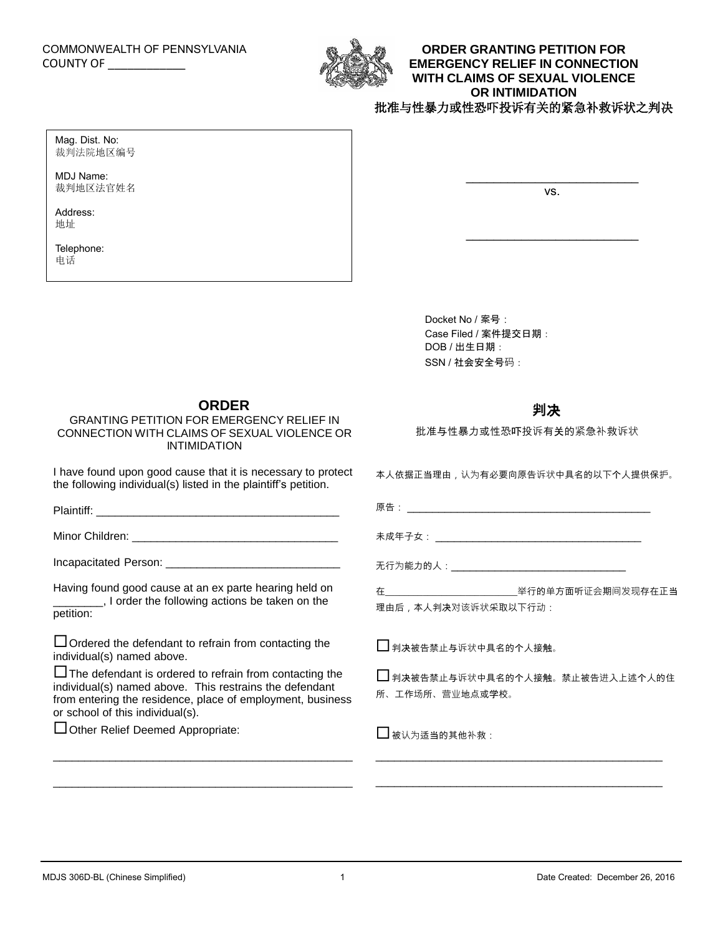### COMMONWEALTH OF PENNSYLVANIA COUNTY OF \_\_\_\_\_\_\_\_\_\_\_\_\_



### **ORDER GRANTING PETITION FOR EMERGENCY RELIEF IN CONNECTION WITH CLAIMS OF SEXUAL VIOLENCE OR INTIMIDATION** 批准与性暴力或性恐吓投诉有关的紧急补救诉状之判决

Mag. Dist. No: 裁判法院地区编号

MDJ Name: 裁判地区法官姓名

Address: 地址

Telephone: 电话

vs.

\_\_\_\_\_\_\_\_\_\_\_\_\_\_\_\_\_\_\_\_\_\_\_\_\_

Docket No / 案号: Case Filed / 案件提交日期: DOB / 出生日期: SSN / 社会安全号码:

## **ORDER**

GRANTING PETITION FOR EMERGENCY RELIEF IN CONNECTION WITH CLAIMS OF SEXUAL VIOLENCE OR INTIMIDATION

I have found upon good cause that it is necessary to protect the following individual(s) listed in the plaintiff's petition.

Plaintiff:

Minor Children: **William Children: Minor** Children:

Incapacitated Person:

Having found good cause at an ex parte hearing held on \_\_\_\_\_\_\_\_, I order the following actions be taken on the petition:

 $\Box$  Ordered the defendant to refrain from contacting the individual(s) named above.

 $\Box$  The defendant is ordered to refrain from contacting the individual(s) named above. This restrains the defendant from entering the residence, place of employment, business or school of this individual(s).

 $\mathcal{L}_\text{max}$  and  $\mathcal{L}_\text{max}$  and  $\mathcal{L}_\text{max}$  and  $\mathcal{L}_\text{max}$  and  $\mathcal{L}_\text{max}$ 

\_\_\_\_\_\_\_\_\_\_\_\_\_\_\_\_\_\_\_\_\_\_\_\_\_\_\_\_\_\_\_\_\_\_\_\_\_\_\_\_\_\_\_\_\_\_\_\_

Other Relief Deemed Appropriate:

# **判**决

批准与性暴力或性恐吓投诉有关的紧急补救诉状

本人依据正当理由,认为有必要向原告诉状中具名的以下个人提供保护。

| 店  |  |
|----|--|
| ,, |  |

未成年子女: \_\_\_\_\_\_\_\_\_\_\_\_\_\_\_\_\_\_\_\_\_\_\_\_\_\_\_\_\_\_\_\_\_

无行为能力的人:\_\_\_\_\_\_\_\_\_\_\_\_\_\_\_\_\_\_\_\_\_\_\_\_\_\_\_\_

在\_\_\_\_\_\_\_\_\_\_\_\_\_\_\_\_\_\_\_\_\_\_\_\_\_\_\_\_举行的单方面听证会期间发现存在正当 理由后,本人判决对该诉状采取以下行动:

□ 判决被告禁止与诉状中具名的个人接触。

□ 判决被告禁止与诉状中具名的个人接触。禁止被告进入上述个人的住 所、工作场所、营业地点或学校。

\_\_\_\_\_\_\_\_\_\_\_\_\_\_\_\_\_\_\_\_\_\_\_\_\_\_\_\_\_\_\_\_\_\_\_\_\_\_\_\_\_\_\_\_\_\_

\_\_\_\_\_\_\_\_\_\_\_\_\_\_\_\_\_\_\_\_\_\_\_\_\_\_\_\_\_\_\_\_\_\_\_\_\_\_\_\_\_\_\_\_\_\_

□ 被认为适当的其他补救: